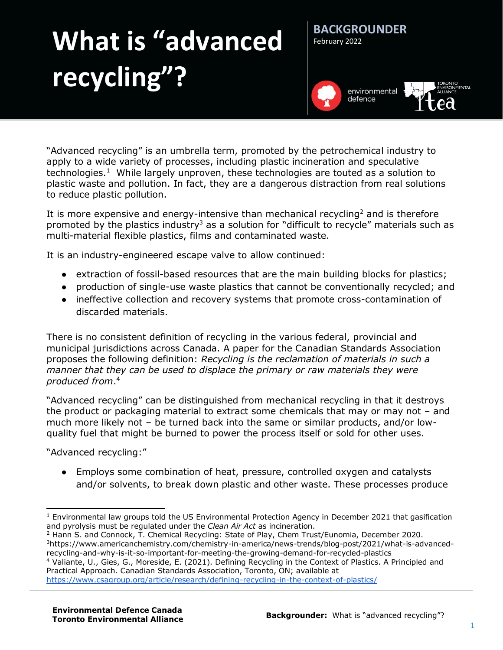## **What is "advanced recycling"?**



**BACKGROUNDER**

February 2022

"Advanced recycling" is an umbrella term, promoted by the petrochemical industry to apply to a wide variety of processes, including plastic incineration and speculative technologies.<sup>1</sup> While largely unproven, these technologies are touted as a solution to plastic waste and pollution. In fact, they are a dangerous distraction from real solutions to reduce plastic pollution.

It is more expensive and energy-intensive than mechanical recycling<sup>2</sup> and is therefore promoted by the plastics industry<sup>3</sup> as a solution for "difficult to recycle" materials such as multi-material flexible plastics, films and contaminated waste.

It is an industry-engineered escape valve to allow continued:

- extraction of fossil-based resources that are the main building blocks for plastics;
- production of single-use waste plastics that cannot be conventionally recycled; and
- ineffective collection and recovery systems that promote cross-contamination of discarded materials.

There is no consistent definition of recycling in the various federal, provincial and municipal jurisdictions across Canada. A paper for the Canadian Standards Association proposes the following definition: *Recycling is the reclamation of materials in such a manner that they can be used to displace the primary or raw materials they were produced from*. 4

"Advanced recycling" can be distinguished from mechanical recycling in that it destroys the product or packaging material to extract some chemicals that may or may not – and much more likely not – be turned back into the same or similar products, and/or lowquality fuel that might be burned to power the process itself or sold for other uses.

"Advanced recycling:"

● Employs some combination of heat, pressure, controlled oxygen and catalysts and/or solvents, to break down plastic and other waste. These processes produce

<sup>4</sup> Valiante, U., Gies, G., Moreside, E. (2021). Defining Recycling in the Context of Plastics. A Principled and Practical Approach. Canadian Standards Association, Toronto, ON; available at

<https://www.csagroup.org/article/research/defining-recycling-in-the-context-of-plastics/>

 $\overline{a}$  $1$  Environmental law groups told the US Environmental Protection Agency in December 2021 that gasification and pyrolysis must be regulated under the *Clean Air Act* as incineration.

<sup>&</sup>lt;sup>2</sup> Hann S. and Connock, T. Chemical Recycling: State of Play, Chem Trust/Eunomia, December 2020. 3https://www.americanchemistry.com/chemistry-in-america/news-trends/blog-post/2021/what-is-advancedrecycling-and-why-is-it-so-important-for-meeting-the-growing-demand-for-recycled-plastics